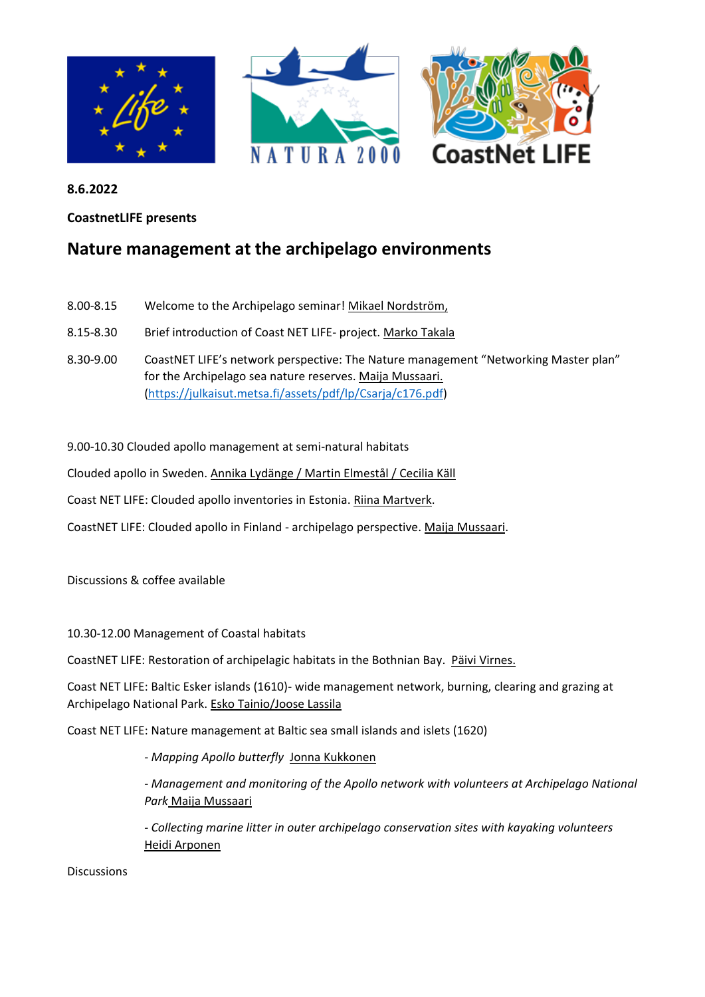

**8.6.2022**

**CoastnetLIFE presents** 

## **Nature management at the archipelago environments**

- 8.00-8.15 Welcome to the Archipelago seminar! Mikael Nordström,
- 8.15-8.30 Brief introduction of Coast NET LIFE- project. Marko Takala
- 8.30-9.00 CoastNET LIFE's network perspective: The Nature management "Networking Master plan" for the Archipelago sea nature reserves. Maija Mussaari. [\(https://julkaisut.metsa.fi/assets/pdf/lp/Csarja/c176.pdf\)](https://julkaisut.metsa.fi/assets/pdf/lp/Csarja/c176.pdf)

9.00-10.30 Clouded apollo management at semi-natural habitats

Clouded apollo in Sweden. Annika Lydänge / Martin Elmestål / Cecilia Käll

Coast NET LIFE: Clouded apollo inventories in Estonia. Riina Martverk.

CoastNET LIFE: Clouded apollo in Finland - archipelago perspective. Maija Mussaari.

Discussions & coffee available

10.30-12.00 Management of Coastal habitats

CoastNET LIFE: Restoration of archipelagic habitats in the Bothnian Bay. Päivi Virnes.

Coast NET LIFE: Baltic Esker islands (1610)- wide management network, burning, clearing and grazing at Archipelago National Park. Esko Tainio/Joose Lassila

Coast NET LIFE: Nature management at Baltic sea small islands and islets (1620)

*- Mapping Apollo butterfly* Jonna Kukkonen

*- Management and monitoring of the Apollo network with volunteers at Archipelago National Park* Maija Mussaari

*- Collecting marine litter in outer archipelago conservation sites with kayaking volunteers* Heidi Arponen

Discussions